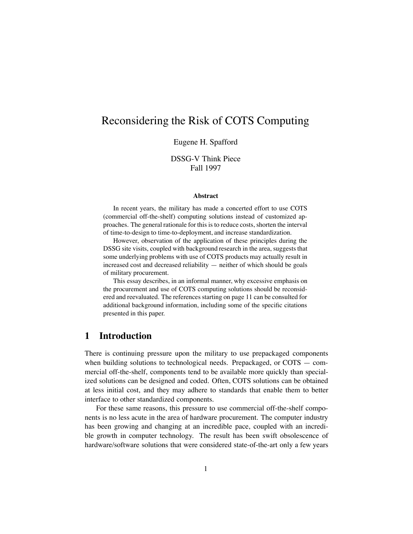# Reconsidering the Risk of COTS Computing

#### Eugene H. Spafford

### DSSG-V Think Piece Fall 1997

#### **Abstract**

In recent years, the military has made a concerted effort to use COTS (commercial off-the-shelf) computing solutions instead of customized approaches. The general rationale for this is to reduce costs, shorten the interval of time-to-design to time-to-deployment, and increase standardization.

However, observation of the application of these principles during the DSSG site visits, coupled with background research in the area, suggests that some underlying problems with use of COTS products may actually result in increased cost and decreased reliability — neither of which should be goals of military procurement.

This essay describes, in an informal manner, why excessive emphasis on the procurement and use of COTS computing solutions should be reconsidered and reevaluated. The references starting on page 11 can be consulted for additional background information, including some of the specific citations presented in this paper.

## **1 Introduction**

There is continuing pressure upon the military to use prepackaged components when building solutions to technological needs. Prepackaged, or COTS — commercial off-the-shelf, components tend to be available more quickly than specialized solutions can be designed and coded. Often, COTS solutions can be obtained at less initial cost, and they may adhere to standards that enable them to better interface to other standardized components.

For these same reasons, this pressure to use commercial off-the-shelf components is no less acute in the area of hardware procurement. The computer industry has been growing and changing at an incredible pace, coupled with an incredible growth in computer technology. The result has been swift obsolescence of hardware/software solutions that were considered state-of-the-art only a few years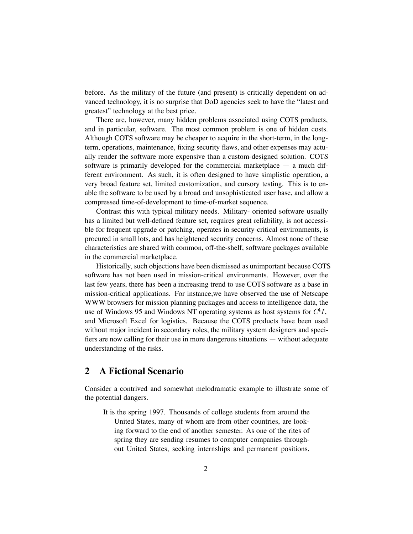before. As the military of the future (and present) is critically dependent on advanced technology, it is no surprise that DoD agencies seek to have the "latest and greatest" technology at the best price.

There are, however, many hidden problems associated using COTS products, and in particular, software. The most common problem is one of hidden costs. Although COTS software may be cheaper to acquire in the short-term, in the longterm, operations, maintenance, fixing security flaws, and other expenses may actually render the software more expensive than a custom-designed solution. COTS software is primarily developed for the commercial marketplace — a much different environment. As such, it is often designed to have simplistic operation, a very broad feature set, limited customization, and cursory testing. This is to enable the software to be used by a broad and unsophisticated user base, and allow a compressed time-of-development to time-of-market sequence.

Contrast this with typical military needs. Military- oriented software usually has a limited but well-defined feature set, requires great reliability, is not accessible for frequent upgrade or patching, operates in security-critical environments, is procured in small lots, and has heightened security concerns. Almost none of these characteristics are shared with common, off-the-shelf, software packages available in the commercial marketplace.

Historically, such objections have been dismissed as unimportant because COTS software has not been used in mission-critical environments. However, over the last few years, there has been a increasing trend to use COTS software as a base in mission-critical applications. For instance,we have observed the use of Netscape WWW browsers for mission planning packages and access to intelligence data, the use of Windows 95 and Windows NT operating systems as host systems for  $C<sup>4</sup>I$ , and Microsoft Excel for logistics. Because the COTS products have been used without major incident in secondary roles, the military system designers and specifiers are now calling for their use in more dangerous situations — without adequate understanding of the risks.

## **2 A Fictional Scenario**

Consider a contrived and somewhat melodramatic example to illustrate some of the potential dangers.

It is the spring 1997. Thousands of college students from around the United States, many of whom are from other countries, are looking forward to the end of another semester. As one of the rites of spring they are sending resumes to computer companies throughout United States, seeking internships and permanent positions.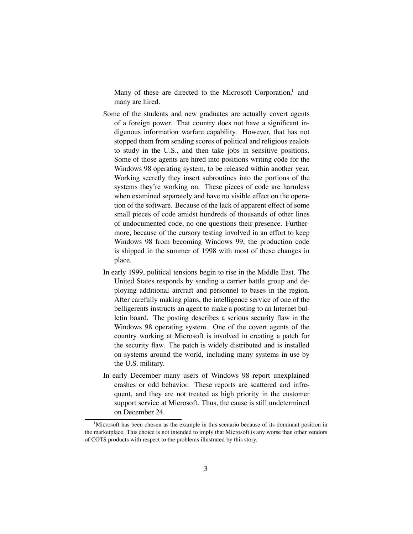Many of these are directed to the Microsoft Corporation, $<sup>1</sup>$  and</sup> many are hired.

- Some of the students and new graduates are actually covert agents of a foreign power. That country does not have a significant indigenous information warfare capability. However, that has not stopped them from sending scores of political and religious zealots to study in the U.S., and then take jobs in sensitive positions. Some of those agents are hired into positions writing code for the Windows 98 operating system, to be released within another year. Working secretly they insert subroutines into the portions of the systems they're working on. These pieces of code are harmless when examined separately and have no visible effect on the operation of the software. Because of the lack of apparent effect of some small pieces of code amidst hundreds of thousands of other lines of undocumented code, no one questions their presence. Furthermore, because of the cursory testing involved in an effort to keep Windows 98 from becoming Windows 99, the production code is shipped in the summer of 1998 with most of these changes in place.
- In early 1999, political tensions begin to rise in the Middle East. The United States responds by sending a carrier battle group and deploying additional aircraft and personnel to bases in the region. After carefully making plans, the intelligence service of one of the belligerents instructs an agent to make a posting to an Internet bulletin board. The posting describes a serious security flaw in the Windows 98 operating system. One of the covert agents of the country working at Microsoft is involved in creating a patch for the security flaw. The patch is widely distributed and is installed on systems around the world, including many systems in use by the U.S. military.
- In early December many users of Windows 98 report unexplained crashes or odd behavior. These reports are scattered and infrequent, and they are not treated as high priority in the customer support service at Microsoft. Thus, the cause is still undetermined on December 24.

<sup>&</sup>lt;sup>1</sup>Microsoft has been chosen as the example in this scenario because of its dominant position in the marketplace. This choice is not intended to imply that Microsoft is any worse than other vendors of COTS products with respect to the problems illustrated by this story.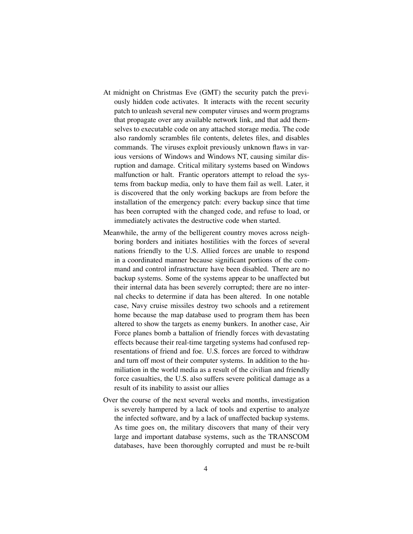- At midnight on Christmas Eve (GMT) the security patch the previously hidden code activates. It interacts with the recent security patch to unleash several new computer viruses and worm programs that propagate over any available network link, and that add themselves to executable code on any attached storage media. The code also randomly scrambles file contents, deletes files, and disables commands. The viruses exploit previously unknown flaws in various versions of Windows and Windows NT, causing similar disruption and damage. Critical military systems based on Windows malfunction or halt. Frantic operators attempt to reload the systems from backup media, only to have them fail as well. Later, it is discovered that the only working backups are from before the installation of the emergency patch: every backup since that time has been corrupted with the changed code, and refuse to load, or immediately activates the destructive code when started.
- Meanwhile, the army of the belligerent country moves across neighboring borders and initiates hostilities with the forces of several nations friendly to the U.S. Allied forces are unable to respond in a coordinated manner because significant portions of the command and control infrastructure have been disabled. There are no backup systems. Some of the systems appear to be unaffected but their internal data has been severely corrupted; there are no internal checks to determine if data has been altered. In one notable case, Navy cruise missiles destroy two schools and a retirement home because the map database used to program them has been altered to show the targets as enemy bunkers. In another case, Air Force planes bomb a battalion of friendly forces with devastating effects because their real-time targeting systems had confused representations of friend and foe. U.S. forces are forced to withdraw and turn off most of their computer systems. In addition to the humiliation in the world media as a result of the civilian and friendly force casualties, the U.S. also suffers severe political damage as a result of its inability to assist our allies
- Over the course of the next several weeks and months, investigation is severely hampered by a lack of tools and expertise to analyze the infected software, and by a lack of unaffected backup systems. As time goes on, the military discovers that many of their very large and important database systems, such as the TRANSCOM databases, have been thoroughly corrupted and must be re-built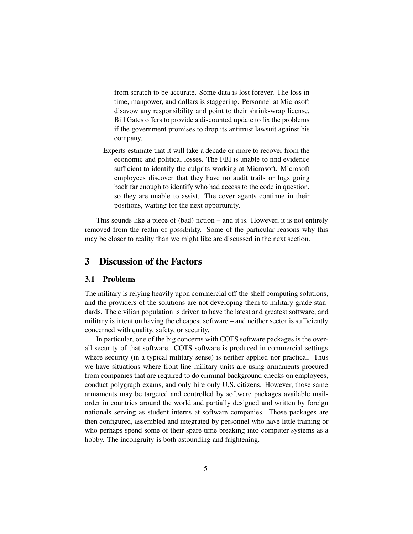from scratch to be accurate. Some data is lost forever. The loss in time, manpower, and dollars is staggering. Personnel at Microsoft disavow any responsibility and point to their shrink-wrap license. Bill Gates offers to provide a discounted update to fix the problems if the government promises to drop its antitrust lawsuit against his company.

Experts estimate that it will take a decade or more to recover from the economic and political losses. The FBI is unable to find evidence sufficient to identify the culprits working at Microsoft. Microsoft employees discover that they have no audit trails or logs going back far enough to identify who had access to the code in question, so they are unable to assist. The cover agents continue in their positions, waiting for the next opportunity.

This sounds like a piece of (bad) fiction – and it is. However, it is not entirely removed from the realm of possibility. Some of the particular reasons why this may be closer to reality than we might like are discussed in the next section.

## **3 Discussion of the Factors**

#### **3.1 Problems**

The military is relying heavily upon commercial off-the-shelf computing solutions, and the providers of the solutions are not developing them to military grade standards. The civilian population is driven to have the latest and greatest software, and military is intent on having the cheapest software – and neither sector is sufficiently concerned with quality, safety, or security.

In particular, one of the big concerns with COTS software packages is the overall security of that software. COTS software is produced in commercial settings where security (in a typical military sense) is neither applied nor practical. Thus we have situations where front-line military units are using armaments procured from companies that are required to do criminal background checks on employees, conduct polygraph exams, and only hire only U.S. citizens. However, those same armaments may be targeted and controlled by software packages available mailorder in countries around the world and partially designed and written by foreign nationals serving as student interns at software companies. Those packages are then configured, assembled and integrated by personnel who have little training or who perhaps spend some of their spare time breaking into computer systems as a hobby. The incongruity is both astounding and frightening.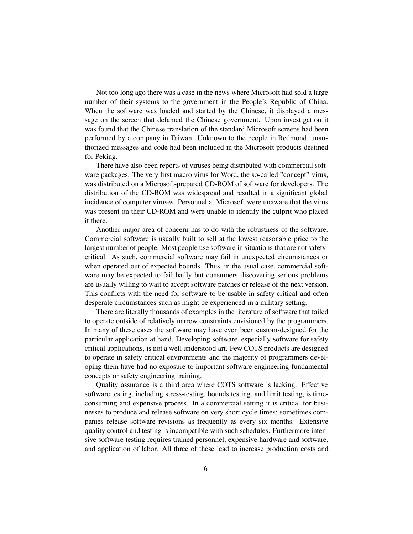Not too long ago there was a case in the news where Microsoft had sold a large number of their systems to the government in the People's Republic of China. When the software was loaded and started by the Chinese, it displayed a message on the screen that defamed the Chinese government. Upon investigation it was found that the Chinese translation of the standard Microsoft screens had been performed by a company in Taiwan. Unknown to the people in Redmond, unauthorized messages and code had been included in the Microsoft products destined for Peking.

There have also been reports of viruses being distributed with commercial software packages. The very first macro virus for Word, the so-called "concept" virus, was distributed on a Microsoft-prepared CD-ROM of software for developers. The distribution of the CD-ROM was widespread and resulted in a significant global incidence of computer viruses. Personnel at Microsoft were unaware that the virus was present on their CD-ROM and were unable to identify the culprit who placed it there.

Another major area of concern has to do with the robustness of the software. Commercial software is usually built to sell at the lowest reasonable price to the largest number of people. Most people use software in situations that are not safetycritical. As such, commercial software may fail in unexpected circumstances or when operated out of expected bounds. Thus, in the usual case, commercial software may be expected to fail badly but consumers discovering serious problems are usually willing to wait to accept software patches or release of the next version. This conflicts with the need for software to be usable in safety-critical and often desperate circumstances such as might be experienced in a military setting.

There are literally thousands of examples in the literature of software that failed to operate outside of relatively narrow constraints envisioned by the programmers. In many of these cases the software may have even been custom-designed for the particular application at hand. Developing software, especially software for safety critical applications, is not a well understood art. Few COTS products are designed to operate in safety critical environments and the majority of programmers developing them have had no exposure to important software engineering fundamental concepts or safety engineering training.

Quality assurance is a third area where COTS software is lacking. Effective software testing, including stress-testing, bounds testing, and limit testing, is timeconsuming and expensive process. In a commercial setting it is critical for businesses to produce and release software on very short cycle times: sometimes companies release software revisions as frequently as every six months. Extensive quality control and testing is incompatible with such schedules. Furthermore intensive software testing requires trained personnel, expensive hardware and software, and application of labor. All three of these lead to increase production costs and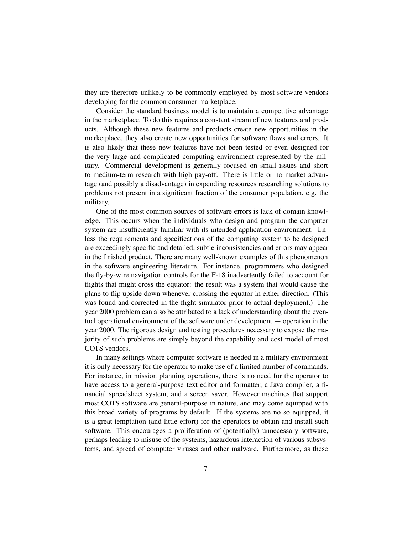they are therefore unlikely to be commonly employed by most software vendors developing for the common consumer marketplace.

Consider the standard business model is to maintain a competitive advantage in the marketplace. To do this requires a constant stream of new features and products. Although these new features and products create new opportunities in the marketplace, they also create new opportunities for software flaws and errors. It is also likely that these new features have not been tested or even designed for the very large and complicated computing environment represented by the military. Commercial development is generally focused on small issues and short to medium-term research with high pay-off. There is little or no market advantage (and possibly a disadvantage) in expending resources researching solutions to problems not present in a significant fraction of the consumer population, e.g. the military.

One of the most common sources of software errors is lack of domain knowledge. This occurs when the individuals who design and program the computer system are insufficiently familiar with its intended application environment. Unless the requirements and specifications of the computing system to be designed are exceedingly specific and detailed, subtle inconsistencies and errors may appear in the finished product. There are many well-known examples of this phenomenon in the software engineering literature. For instance, programmers who designed the fly-by-wire navigation controls for the F-18 inadvertently failed to account for flights that might cross the equator: the result was a system that would cause the plane to flip upside down whenever crossing the equator in either direction. (This was found and corrected in the flight simulator prior to actual deployment.) The year 2000 problem can also be attributed to a lack of understanding about the eventual operational environment of the software under development — operation in the year 2000. The rigorous design and testing procedures necessary to expose the majority of such problems are simply beyond the capability and cost model of most COTS vendors.

In many settings where computer software is needed in a military environment it is only necessary for the operator to make use of a limited number of commands. For instance, in mission planning operations, there is no need for the operator to have access to a general-purpose text editor and formatter, a Java compiler, a financial spreadsheet system, and a screen saver. However machines that support most COTS software are general-purpose in nature, and may come equipped with this broad variety of programs by default. If the systems are no so equipped, it is a great temptation (and little effort) for the operators to obtain and install such software. This encourages a proliferation of (potentially) unnecessary software, perhaps leading to misuse of the systems, hazardous interaction of various subsystems, and spread of computer viruses and other malware. Furthermore, as these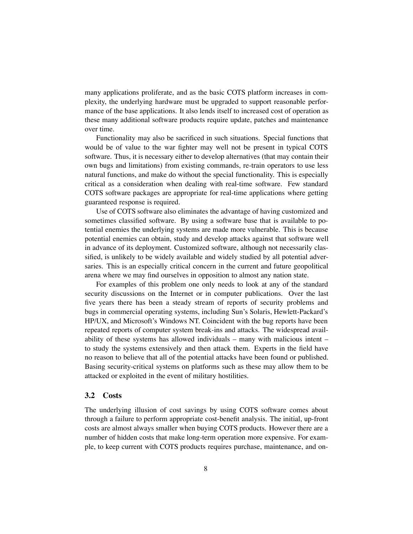many applications proliferate, and as the basic COTS platform increases in complexity, the underlying hardware must be upgraded to support reasonable performance of the base applications. It also lends itself to increased cost of operation as these many additional software products require update, patches and maintenance over time.

Functionality may also be sacrificed in such situations. Special functions that would be of value to the war fighter may well not be present in typical COTS software. Thus, it is necessary either to develop alternatives (that may contain their own bugs and limitations) from existing commands, re-train operators to use less natural functions, and make do without the special functionality. This is especially critical as a consideration when dealing with real-time software. Few standard COTS software packages are appropriate for real-time applications where getting guaranteed response is required.

Use of COTS software also eliminates the advantage of having customized and sometimes classified software. By using a software base that is available to potential enemies the underlying systems are made more vulnerable. This is because potential enemies can obtain, study and develop attacks against that software well in advance of its deployment. Customized software, although not necessarily classified, is unlikely to be widely available and widely studied by all potential adversaries. This is an especially critical concern in the current and future geopolitical arena where we may find ourselves in opposition to almost any nation state.

For examples of this problem one only needs to look at any of the standard security discussions on the Internet or in computer publications. Over the last five years there has been a steady stream of reports of security problems and bugs in commercial operating systems, including Sun's Solaris, Hewlett-Packard's HP/UX, and Microsoft's Windows NT. Coincident with the bug reports have been repeated reports of computer system break-ins and attacks. The widespread availability of these systems has allowed individuals – many with malicious intent – to study the systems extensively and then attack them. Experts in the field have no reason to believe that all of the potential attacks have been found or published. Basing security-critical systems on platforms such as these may allow them to be attacked or exploited in the event of military hostilities.

#### **3.2 Costs**

The underlying illusion of cost savings by using COTS software comes about through a failure to perform appropriate cost-benefit analysis. The initial, up-front costs are almost always smaller when buying COTS products. However there are a number of hidden costs that make long-term operation more expensive. For example, to keep current with COTS products requires purchase, maintenance, and on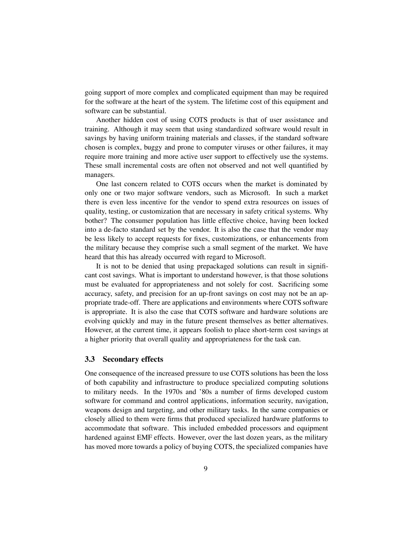going support of more complex and complicated equipment than may be required for the software at the heart of the system. The lifetime cost of this equipment and software can be substantial.

Another hidden cost of using COTS products is that of user assistance and training. Although it may seem that using standardized software would result in savings by having uniform training materials and classes, if the standard software chosen is complex, buggy and prone to computer viruses or other failures, it may require more training and more active user support to effectively use the systems. These small incremental costs are often not observed and not well quantified by managers.

One last concern related to COTS occurs when the market is dominated by only one or two major software vendors, such as Microsoft. In such a market there is even less incentive for the vendor to spend extra resources on issues of quality, testing, or customization that are necessary in safety critical systems. Why bother? The consumer population has little effective choice, having been locked into a de-facto standard set by the vendor. It is also the case that the vendor may be less likely to accept requests for fixes, customizations, or enhancements from the military because they comprise such a small segment of the market. We have heard that this has already occurred with regard to Microsoft.

It is not to be denied that using prepackaged solutions can result in significant cost savings. What is important to understand however, is that those solutions must be evaluated for appropriateness and not solely for cost. Sacrificing some accuracy, safety, and precision for an up-front savings on cost may not be an appropriate trade-off. There are applications and environments where COTS software is appropriate. It is also the case that COTS software and hardware solutions are evolving quickly and may in the future present themselves as better alternatives. However, at the current time, it appears foolish to place short-term cost savings at a higher priority that overall quality and appropriateness for the task can.

#### **3.3 Secondary effects**

One consequence of the increased pressure to use COTS solutions has been the loss of both capability and infrastructure to produce specialized computing solutions to military needs. In the 1970s and '80s a number of firms developed custom software for command and control applications, information security, navigation, weapons design and targeting, and other military tasks. In the same companies or closely allied to them were firms that produced specialized hardware platforms to accommodate that software. This included embedded processors and equipment hardened against EMF effects. However, over the last dozen years, as the military has moved more towards a policy of buying COTS, the specialized companies have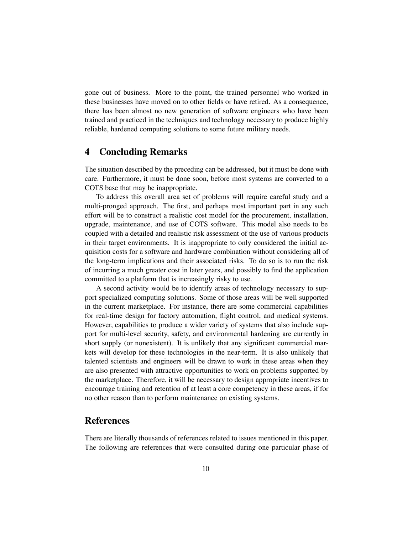gone out of business. More to the point, the trained personnel who worked in these businesses have moved on to other fields or have retired. As a consequence, there has been almost no new generation of software engineers who have been trained and practiced in the techniques and technology necessary to produce highly reliable, hardened computing solutions to some future military needs.

## **4 Concluding Remarks**

The situation described by the preceding can be addressed, but it must be done with care. Furthermore, it must be done soon, before most systems are converted to a COTS base that may be inappropriate.

To address this overall area set of problems will require careful study and a multi-pronged approach. The first, and perhaps most important part in any such effort will be to construct a realistic cost model for the procurement, installation, upgrade, maintenance, and use of COTS software. This model also needs to be coupled with a detailed and realistic risk assessment of the use of various products in their target environments. It is inappropriate to only considered the initial acquisition costs for a software and hardware combination without considering all of the long-term implications and their associated risks. To do so is to run the risk of incurring a much greater cost in later years, and possibly to find the application committed to a platform that is increasingly risky to use.

A second activity would be to identify areas of technology necessary to support specialized computing solutions. Some of those areas will be well supported in the current marketplace. For instance, there are some commercial capabilities for real-time design for factory automation, flight control, and medical systems. However, capabilities to produce a wider variety of systems that also include support for multi-level security, safety, and environmental hardening are currently in short supply (or nonexistent). It is unlikely that any significant commercial markets will develop for these technologies in the near-term. It is also unlikely that talented scientists and engineers will be drawn to work in these areas when they are also presented with attractive opportunities to work on problems supported by the marketplace. Therefore, it will be necessary to design appropriate incentives to encourage training and retention of at least a core competency in these areas, if for no other reason than to perform maintenance on existing systems.

## **References**

There are literally thousands of references related to issues mentioned in this paper. The following are references that were consulted during one particular phase of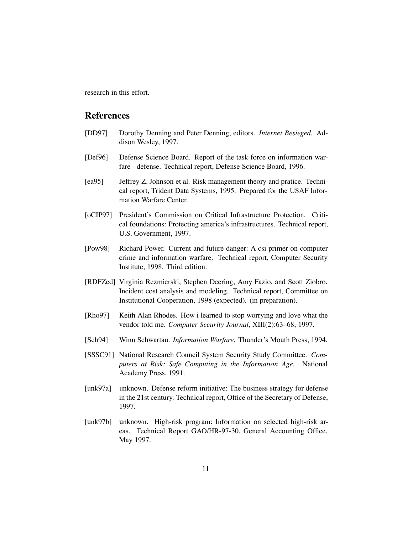research in this effort.

## **References**

- [DD97] Dorothy Denning and Peter Denning, editors. *Internet Besieged*. Addison Wesley, 1997.
- [Def96] Defense Science Board. Report of the task force on information warfare - defense. Technical report, Defense Science Board, 1996.
- [ea95] Jeffrey Z. Johnson et al. Risk management theory and pratice. Technical report, Trident Data Systems, 1995. Prepared for the USAF Information Warfare Center.
- [oCIP97] President's Commission on Critical Infrastructure Protection. Critical foundations: Protecting america's infrastructures. Technical report, U.S. Government, 1997.
- [Pow98] Richard Power. Current and future danger: A csi primer on computer crime and information warfare. Technical report, Computer Security Institute, 1998. Third edition.
- [RDFZed] Virginia Rezmierski, Stephen Deering, Amy Fazio, and Scott Ziobro. Incident cost analysis and modeling. Technical report, Committee on Institutional Cooperation, 1998 (expected). (in preparation).
- [Rho97] Keith Alan Rhodes. How i learned to stop worrying and love what the vendor told me. *Computer Security Journal*, XIII(2):63–68, 1997.
- [Sch94] Winn Schwartau. *Information Warfare*. Thunder's Mouth Press, 1994.
- [SSSC91] National Research Council System Security Study Committee. *Computers at Risk: Safe Computing in the Information Age*. National Academy Press, 1991.
- [unk97a] unknown. Defense reform initiative: The business strategy for defense in the 21st century. Technical report, Office of the Secretary of Defense, 1997.
- [unk97b] unknown. High-risk program: Information on selected high-risk areas. Technical Report GAO/HR-97-30, General Accounting Office, May 1997.